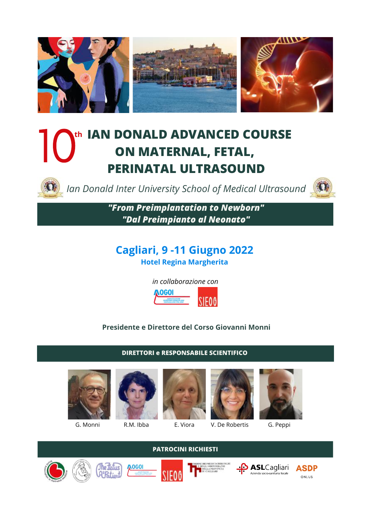

# **IAN DONALD ADVANCED COURSE th ON MATERNAL, FETAL, PERINATAL ULTRASOUND** 10th

*Ian Donald Inter University School of Medical Ultrasound*



*"From Preimplantation to Newborn" "Dal Preimpianto al Neonato"*

## **Cagliari, 9 -11 Giugno 2022 Hotel Regina Margherita**



## **Presidente e Direttore del Corso Giovanni Monni**

**DIRETTORI e RESPONSABILE SCIENTIFICO**



**AOGO** 



**PATROCINI RICHIESTI**



G. Monni R.M. Ibba E. Viora V. De Robertis G. Peppi













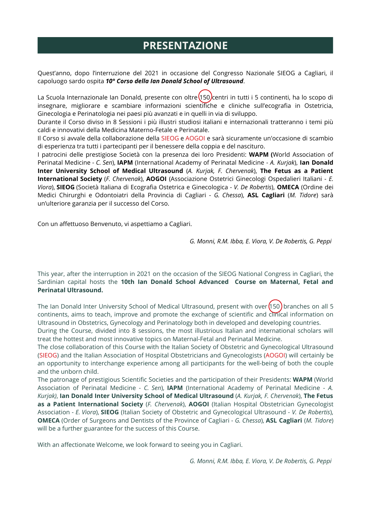# **PRESENTAZIONE**

Quest'anno, dopo l'interruzione del 2021 in occasione del Congresso Nazionale SIEOG a Cagliari, il capoluogo sardo ospita *10° Corso della Ian Donald School of Ultrasound*.

La Scuola Internazionale Ian Donald, presente con oltre (150) centri in tutti i 5 continenti, ha lo scopo di insegnare, migliorare e scambiare informazioni scientifiche e cliniche sull'ecografia in Ostetricia, Ginecologia e Perinatologia nei paesi più avanzati e in quelli in via di sviluppo.

Durante il Corso diviso in 8 Sessioni i più illustri studiosi italiani e internazionali tratteranno i temi più caldi e innovativi della Medicina Materno-Fetale e Perinatale.

Il Corso si avvale della collaborazione della SIEOG e AOGOI e sarà sicuramente un'occasione di scambio di esperienza tra tutti i partecipanti per il benessere della coppia e del nascituro.

I patrocini delle prestigiose Società con la presenza dei loro Presidenti: **WAPM (**World Association of Perinatal Medicine - *C. Sen*), **IAPM** (International Academy of Perinatal Medicine - *A. Kurjak*), **Ian Donald Inter University School of Medical Ultrasound** (*A. Kurjak, F. Chervenak*), **The Fetus as a Patient International Society** (*F. Chervenak*), **AOGOI** (Associazione Ostetrici Ginecologi Ospedalieri Italiani - *E. Viora*), **SIEOG** (Società Italiana di Ecografia Ostetrica e Ginecologica - *V. De Robertis*), **OMECA** (Ordine dei Medici Chirurghi e Odontoiatri della Provincia di Cagliari - *G. Chessa*), **ASL Cagliari** (*M. Tidore*) sarà un'ulteriore garanzia per il successo del Corso.

Con un affettuoso Benvenuto, vi aspettiamo a Cagliari.

*G. Monni, R.M. Ibba, E. Viora, V. De Robertis, G. Peppi*

This year, after the interruption in 2021 on the occasion of the SIEOG National Congress in Cagliari, the Sardinian capital hosts the **10th Ian Donald School Advanced Course on Maternal, Fetal and Perinatal Ultrasound.**

The Ian Donald Inter University School of Medical Ultrasound, present with over  $(150)$  branches on all 5 continents, aims to teach, improve and promote the exchange of scientific and clinical information on Ultrasound in Obstetrics, Gynecology and Perinatology both in developed and developing countries.

During the Course, divided into 8 sessions, the most illustrious Italian and international scholars will treat the hottest and most innovative topics on Maternal-Fetal and Perinatal Medicine.

The close collaboration of this Course with the Italian Society of Obstetric and Gynecological Ultrasound (SIEOG) and the Italian Association of Hospital Obstetricians and Gynecologists (AOGOI) will certainly be an opportunity to interchange experience among all participants for the well-being of both the couple and the unborn child.

The patronage of prestigious Scientific Societies and the participation of their Presidents: **WAPM** (World Association of Perinatal Medicine - *C. Sen*), **IAPM** (International Academy of Perinatal Medicine - *A. Kurjak)*, **Ian Donald Inter University School of Medical Ultrasound** (*A. Kurjak, F. Chervenak*), **The Fetus as a Patient International Society** (*F. Chervenak*), **AOGOI** (Italian Hospital Obstetrician Gynecologist Association - *E. Viora*), **SIEOG** (Italian Society of Obstetric and Gynecological Ultrasound - *V. De Robertis*), **OMECA** (Order of Surgeons and Dentists of the Province of Cagliari - *G. Chessa*), **ASL Cagliari** (*M. Tidore*) will be a further guarantee for the success of this Course.

With an affectionate Welcome, we look forward to seeing you in Cagliari.

*G. Monni, R.M. Ibba, E. Viora, V. De Robertis, G. Peppi*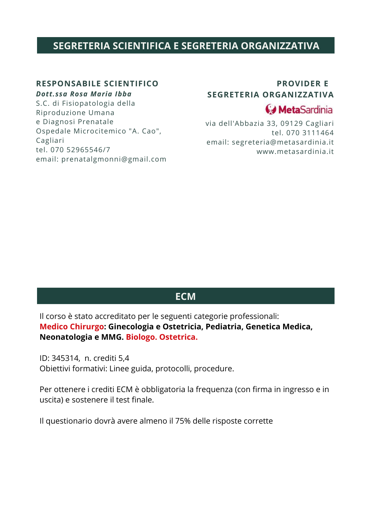## **SEGRETERIA SCIENTIFICA E SEGRETERIA ORGANIZZATIVA**

## **RESPONSABILE SCIENTIFICO**

## *Dott.ssa Rosa Maria Ibba*

S.C. di Fisiopatologia della Riproduzione Umana e Diagnosi Prenatale Ospedale Microcitemico "A. Cao", Cagliari tel. 070 52965546/7 email: prenatalgmonni@gmail.com

## **PROVIDER E SEGRETERIA ORGANIZZATIVA**

## **G** MetaSardinia

via dell'Abbazia 33, 09129 Cagliari tel. 070 3111464 email: segreteria@metasardinia.it www.metasardinia.it

## **ECM**

Il corso è stato accreditato per le seguenti categorie professionali: **Medico Chirurgo: Ginecologia e Ostetricia, Pediatria, Genetica Medica, Neonatologia e MMG. Biologo. Ostetrica.**

ID: 345314, n. crediti 5,4 Obiettivi formativi: Linee guida, protocolli, procedure.

Per ottenere i crediti ECM è obbligatoria la frequenza (con firma in ingresso e in uscita) e sostenere il test finale.

Il questionario dovrà avere almeno il 75% delle risposte corrette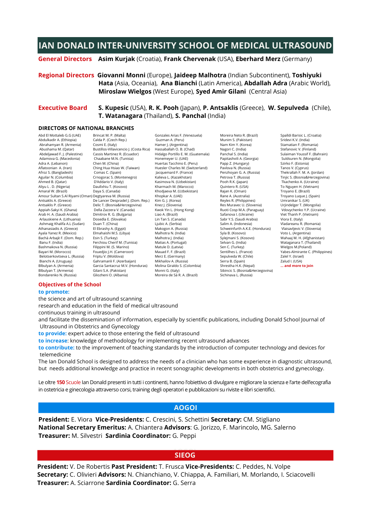## **IAN DONALD INTER-UNIVERSITY SCHOOL OF MEDICAL ULTRASOUND**

### **General Directors Asim Kurjak** (Croatia), **Frank Chervenak** (USA), **Eberhard Merz** (Germany)

#### **Regional Directors Giovanni Monni** (Europe), **Jaideep Malhotra** (Indian Subcontinent), **Toshiyuki Hata** (Asia, Oceania), **Ana Bianchi** (Latin America), **Abdallah Adra** (Arabic World), **Miroslaw Wielgos** (West Europe), **Syed Amir Gilani** (Central Asia)

## **Executive Board S. Kupesic** (USA), **R. K. Pooh** (Japan), **P. Antsaklis** (Greece), **W. Sepulveda** (Chile), **T. Watanagara** (Thailand), **S. Panchal** (India)

#### **DIRECTORS OF NATIONAL BRANCHES**

Abd El Mottaleb G.G (UAE) Abdulkadir A. (Ethiopia) Abrahamyan R. (Armenia) Abushama M. (Qatar) Abdeljawad F. J. (Palestine) Adra A. (Lebanon)<br>Aflatoonian A. (Iran)<br>Afroz S. (Bangladesh) Aguilar N. (Columbia)<br>Ahmed B. (Qatar) Aliyu L . D. (Nigeria)<br>Amaral W. (Brazil) Amour Sultan S.Al Riyami (Oman) Degtyareva M. (Russia) Antsaklis A. (Greece) Antsaklis P. (Greece) Appiah-Sakyi K. (Ghana) Arab H. A. (Saudi Arabia) Arlauskiene A. (Lithuania) Ashmaig Khalifa A.L (Sudan)<br>Arhanasiadis A. (Greece) Athanasiadis A. (Greece) Ayala Yanez R. (Mexico) Bachà Arbajè F. (Dom. Rep.) Banu F. (India) Bayari M. (Morocco) Belotserkovtseva L. (Russia) Bianchi A. (Uruguay) Blbulyan A. (Armenia) Blbulyan T. (Armenia) Bondarenko N. (Russia)

Brincat M. P. (Malta)<br>Calda P. (Czech Rep.) Cosmi E. (Italy) Cassis Martinez R. (Ecuador) Chaabane M.N. (Tunisia) Chen M. (China) Ching Hua Hsiao W. (Taiwan) Comas C. (Spain) Crnogorac S. (Montenegro)<br>D'Addario V. (Italy) Daullxhiu T. (Kosovo) Daya S. (Canada) De Lancer Despradel J. (Dom. Rep.) Delic T. (Bosnia&Herzegovina) Della Zazzera V. (Canada) Dimitrov R. G. (Bulgaria)<br>Dosedla E. (Slovakia) Dosedla E. (Slovakia) Duan T. (China) El Ebrashy A. (Egypt) Elmahaishi M.S. (Libya) Esin S. (Turkey) Ferchiou Cherif M. (Tunisia) Filippini M. (S. Marino) Fouedjio J.H. (Cameroon) Friptu V. (Moldova) Gahramanli F. (Azerbaijan) Garcia Santacruz M.V. (Honduras) Molina Giraldo S. (Colombia) Gilani S.A. (Pakistan) Gliozheni O. (Albania) Hamer J. (1999)<br>Hassaballah O. B. (Chad) Hassaballah O. B. (Chad)

Gonzales Arias F. (Venezuela) Guzman A. (Peru)<br>Hamer I. (Argentina) Hidalgo Portillo E. M. (Guatemala) Huertas Tacchino E. (Peru) Huesler Charles M. (Switzerland) Jacquemard F. (France) Kasimova N. (Uzbekistan)<br>Kharmach M. (Marocco)<br>Khodiaeva M. (Uzbekistan) Khopkar A. (UAE) Kim G. J. (Korea) Knez I. (Slovenia) Kwok Yin L. (Hong Kong) Liao A. (Brazil) Lin Tan S. (Canada)<br>Ljubic A. (Serbia) Makogon A. (Russia)<br>Malhotra N. (India)<br>Malhotra J. (India)<br>Matias A. (Portugal) Matule D. (Latvia) Mauad F. F. (Brazil) Merz E. (Germany) Mikhailov A. (Russia) Monni G. (Italy) Moreira de Sà R. A. (Brazil)

Moreira Neto R. (Brazil) Munim S. (Pakistan) Nam Kim Y. (Korea) Nagori C. (India) Panchal S. (India)<br>Papitashvili A. (Georgia) Papp Z. (Hungary)<br>Pavlova N. (Russia)<br>Penzhovan G. A. (Russia) Petrova T. (Russia) Pooh R.K. (Japan) Quintero R. (USA) Rajan K. (Oman) Rane A. (Australia) Reyles R. (Philippines) Res Muravec U. (Slovenia) Ruoti Cosp M.A. (Paraguay) Safanova I. (Ukraine) Sabr Y.S. (Saudi Arabia) Salim A. (Indonesia) Schweinfurth A.K.E. (Honduras) Syla B. (Kosovo) Sylejmani S. (Kosovo) Selvan G. (India) Sen C. (Turkey) Sentilhes L. (France) Sepulveda W. (Chile) Serra B. (Spain) Shrestha H.K. (Nepal) Sibincic S. (Bosnia&Herzegovina) Sichinava L. (Russia)

Spalldi Barisic L. (Croatia) Sridevi K.V. (India) Stamatian F. (Romania) Stefanovic V. (Finland) Sulaiman Youssif F. (Bahrain) Suldsuren N. (Mongolia) Szirko F. (Estonia) Tanos V. (Cyprus) Thekrallah F. M. A. (Jordan) Tinjic S. (Bosnia&Herzegovina) Tkachenko A. (Ucraine) To Nguyen H. (Vietnam) Troyano E. (Brazil) Troyano Luque I. (Spain) Umranikar S. (UK) Urjindelger T. (Mongolia) Vdovychenko Y.P. (Ucraine) Viet Thanh P. (Vietnam) Viora E. (Italy) Vladareanu R. (Romania) Vlaisavljevic V. (Slovenia) Voto L. (Argentina) Wahaaj M. H. (Afghanistan) Wielgos M.(Poland) Yabes-Almirante C. (Philippines) Zalel Y. (Israel) Zalud I. (USA) **… and more to join**

#### **Objectives of the School to promote:**

the science and art of ultrasound scanning

research and education in the field of medical ultrasound

continuous training in ultrasound

and facilitate the dissemination of information, especially by scientific publications, including Donald School Journal of Ultrasound in Obstetrics and Gynecology

**to provide:** expert advice to those entering the field of ultrasound

**to increase**: knowledge of methodology for implementing recent ultrasound advances

**to contribute:** to the improvement of teaching standards by the introduction of computer technology and devices for telemedicine

The Ian Donald School is designed to address the needs of a clinician who has some experience in diagnostic ultrasound, but needs additional knowledge and practice in recent sonographic developments in both obstetrics and gynecology.

Le oltre **150** Scuole Ian Donald presenti in tutti i continenti, hanno l'obiettivo di divulgare e migliorare la scienza e l'arte dell'ecografia in ostetricia e ginecologia attraverso corsi, training degli operatori e pubblicazioni su riviste e libri scientifici.

### **AOGOI**

**President:** E. Viora **Vice-Presidents:** C. Crescini, S. Schettini **Secretary:** CM. Stigliano **National Secretary Emeritus:** A. Chiantera **Advisors**: G. Jorizzo, F. Marincolo, MG. Salerno **Treasurer:** M. Silvestri **Sardinia Coordinator:** G. Peppi

## **AOGOI SIEOG**

**President:** V. De Robertis **Past President:** T. Frusca **Vice-Presidents:** C. Peddes, N. Volpe **Secretary:** C. Olivieri **Advisors:** N. Chianchiano, V. Chiappa, A. Familiari, M. Morlando, I. Sciacovelli **Treasurer:** A. Sciarrone **Sardinia Coordinator:** G. Serra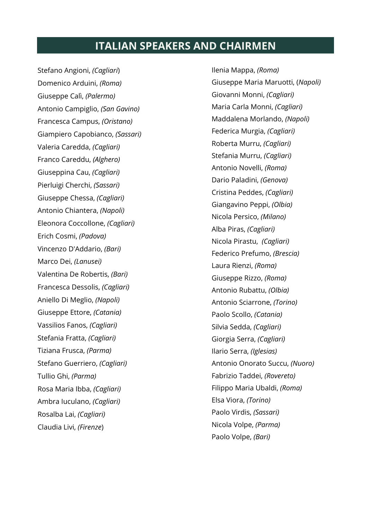## **ITALIAN SPEAKERS AND CHAIRMEN**

Stefano Angioni, *(Cagliari*) Domenico Arduini, *(Roma)* Giuseppe Calì, *(Palermo)* Antonio Campiglio, *(San Gavino)* Francesca Campus, *(Oristano)* Giampiero Capobianco, *(Sassari)* Valeria Caredda, *(Cagliari)* Franco Careddu, *(Alghero)* Giuseppina Cau, *(Cagliari)* Pierluigi Cherchi, *(Sassari)* Giuseppe Chessa, *(Cagliari)* Antonio Chiantera, *(Napoli)* Eleonora Coccollone, *(Cagliari)* Erich Cosmi, *(Padova)* Vincenzo D'Addario, *(Bari)* Marco Dei, *(Lanusei)* Valentina De Robertis, *(Bari)* Francesca Dessolis, *(Cagliari)* Aniello Di Meglio, *(Napoli)* Giuseppe Ettore, *(Catania)* Vassilios Fanos, *(Cagliari)* Stefania Fratta, *(Cagliari)* Tiziana Frusca, *(Parma)* Stefano Guerriero, *(Cagliari)* Tullio Ghi, *(Parma)* Rosa Maria Ibba, *(Cagliari)* Ambra Iuculano, *(Cagliari)* Rosalba Lai, *(Cagliari)* Claudia Livi, *(Firenze*)

Ilenia Mappa, *(Roma)* Giuseppe Maria Maruotti, (*Napoli)* Giovanni Monni, *(Cagliari)* Maria Carla Monni, *(Cagliari)* Maddalena Morlando, *(Napoli)* Federica Murgia, *(Cagliari)* Roberta Murru, *(Cagliari)* Stefania Murru, *(Cagliari)* Antonio Novelli, *(Roma)* Dario Paladini, *(Genova)* Cristina Peddes, *(Cagliari)* Giangavino Peppi, *(Olbia)* Nicola Persico, *(Milano)* Alba Piras, *(Cagliari)* Nicola Pirastu, *(Cagliari)* Federico Prefumo, *(Brescia)* Laura Rienzi, *(Roma)* Giuseppe Rizzo, *(Roma)* Antonio Rubattu, *(Olbia)* Antonio Sciarrone, *(Torino)* Paolo Scollo, *(Catania)* Silvia Sedda, *(Cagliari)* Giorgia Serra, *(Cagliari)* Ilario Serra, *(Iglesias)* Antonio Onorato Succu, *(Nuoro)* Fabrizio Taddei, *(Rovereto)* Filippo Maria Ubaldi, *(Roma)* Elsa Viora, *(Torino)* Paolo Virdis, *(Sassari)* Nicola Volpe, *(Parma)* Paolo Volpe, *(Bari)*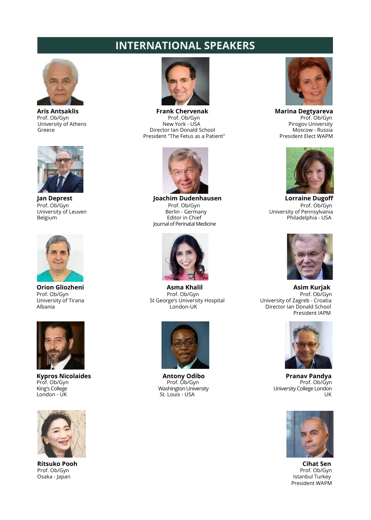# **INTERNATIONAL SPEAKERS**











Osaka - Japan



**Aris Antsaklis**<br>**Prof. Ob/Gyn**<br>**Prof. Ob/Gyn** Prof. Ob/Gyn Prof. Ob/Gyn Prof. Ob/Gyn Prof. Ob/Gyn Prof. Ob/Gyn University of Athens The School Control of Athens Athens the New York - USA Pirogov University Progov University<br>Greece Pirogov University Pirogov University Progov University Pirogov University Progov University Director Ian Donald School Moscow - Russia<br>esident "The Fetus as a Patient" President Elect WAPM President "The Fetus as a Patient"



**Jan Deprest Lorraine Dugoff Joachim Dudenhausen Lorraine Dugoff Prof. Ob/Gyn Prof. Ob/Gyn Prof. Ob/Gyn** Prof. Ob/Gyn Prof. Ob/Gyn Prof. Ob/Gyn University of Leuven Berlin - Germany University of Pennsylvania Journal of Perinatal Medicine



Prof. Ob/Gyn Prof. Ob/Gyn Prof. Ob/Gyn University of Tirana St George's University Hospital University of Zagreb - Croatia



St. Louis - USA





Belgium Editor in Chief Philadelphia - USA



**Orion Gliozheni Asma Khalil Asim Kurjak** Director Ian Donald School President IAPM



**Kypros Nicolaides**<br>
Prof. Ob/Gyn
Prof. Ob/Gyn
Prof. Ob/Gyn
Prof. Ob/Gyn
Prof. Ob/Gyn
Prof. Ob/Gyn
Prof. Ob/Gyn
Prof. Ob/Gyn
Prof. Ob/Gyn
Prof. Ob/Gyn
Prof. Ob/Gyn
Prof. Ob/Gyn
Prof. Ob/Gyn
Prof. Ob/Gyn
Prof. Ob/Gyn
Prof. Prof. Ob/Gyn<br>Prof. Ob/Gyn Prof. Ob/Gyn<br>King's College London – Washington University – University College London King's College Washington University University College London



**Ritsuko Pooh Cihat Sen Prof. Ob/Gyn**<br>Prof. Ob/Gyn Prof. Ob/Gyn Prof. Ob/Gyn<br>Istanbul Turkey President WAPM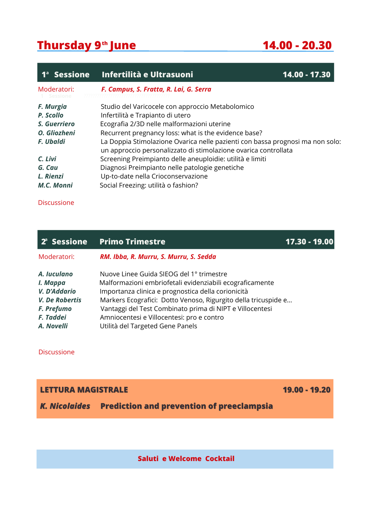# **Thursday 9 June 14.00 - 20.30 th**

| $1a$ Sessione | Infertilità e Ultrasuoni                                                                                                                         | $14.00 - 17.30$ |
|---------------|--------------------------------------------------------------------------------------------------------------------------------------------------|-----------------|
| Moderatori:   | F. Campus, S. Fratta, R. Lai, G. Serra                                                                                                           |                 |
| F. Murgia     | Studio del Varicocele con approccio Metabolomico                                                                                                 |                 |
| P. Scollo     | Infertilità e Trapianto di utero                                                                                                                 |                 |
| S. Guerriero  | Ecografia 2/3D nelle malformazioni uterine                                                                                                       |                 |
| O. Gliozheni  | Recurrent pregnancy loss: what is the evidence base?                                                                                             |                 |
| F. Ubaldi     | La Doppia Stimolazione Ovarica nelle pazienti con bassa prognosi ma non solo:<br>un approccio personalizzato di stimolazione ovarica controllata |                 |
| C. Livi       | Screening Preimpianto delle aneuploidie: utilità e limiti                                                                                        |                 |
| G. Cau        | Diagnosi Preimpianto nelle patologie genetiche                                                                                                   |                 |
| L. Rienzi     | Up-to-date nella Crioconservazione                                                                                                               |                 |
| M.C. Monni    | Social Freezing: utilità o fashion?                                                                                                              |                 |

## Discussione

| 2ª Sessione                             | <b>Primo Trimestre</b>                                                                                                                                     | $17.30 - 19.00$ |
|-----------------------------------------|------------------------------------------------------------------------------------------------------------------------------------------------------------|-----------------|
| Moderatori:                             | RM. Ibba, R. Murru, S. Murru, S. Sedda                                                                                                                     |                 |
| A. Iuculano<br>I. Mappa<br>V. D'Addario | Nuove Linee Guida SIEOG del 1º trimestre<br>Malformazioni embriofetali evidenziabili ecograficamente<br>Importanza clinica e prognostica della corionicità |                 |
| V. De Robertis                          | Markers Ecografici: Dotto Venoso, Rigurgito della tricuspide e                                                                                             |                 |
| F. Prefumo                              | Vantaggi del Test Combinato prima di NIPT e Villocentesi                                                                                                   |                 |
| F. Taddei                               | Amniocentesi e Villocentesi: pro e contro                                                                                                                  |                 |
| A. Novelli                              | Utilità del Targeted Gene Panels                                                                                                                           |                 |

Discussione

**LETTURA MAGISTRALE 19.00 - 19.20**

*K. Nicolaides* **Prediction and prevention of preeclampsia**

**Saluti e Welcome Cocktail**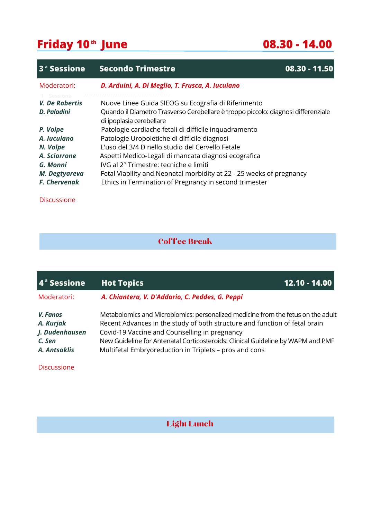# **Friday 10 June 08.30 - 14.00 th**

| 3 <sup>ª</sup> Sessione | <b>Secondo Trimestre</b>                                                                                      | $08.30 - 11.50$ |
|-------------------------|---------------------------------------------------------------------------------------------------------------|-----------------|
| Moderatori:             | D. Arduini, A. Di Meglio, T. Frusca, A. Iuculano                                                              |                 |
| Sessione                |                                                                                                               |                 |
| V. De Robertis          | Nuove Linee Guida SIEOG su Ecografia di Riferimento                                                           |                 |
| D. Paladini             | Quando il Diametro Trasverso Cerebellare è troppo piccolo: diagnosi differenziale<br>di ipoplasia cerebellare |                 |
| P. Volpe                | Patologie cardiache fetali di difficile inquadramento                                                         |                 |
| A. Iuculano             | Patologie Uropoietiche di difficile diagnosi                                                                  |                 |
| N. Volpe                | L'uso del 3/4 D nello studio del Cervello Fetale                                                              |                 |
| A. Sciarrone            | Aspetti Medico-Legali di mancata diagnosi ecografica                                                          |                 |
| G. Monni                | IVG al 2° Trimestre: tecniche e limiti                                                                        |                 |
| M. Degtyareva           | Fetal Viability and Neonatal morbidity at 22 - 25 weeks of pregnancy                                          |                 |
| <b>F. Chervenak</b>     | Ethics in Termination of Pregnancy in second trimester                                                        |                 |

**Discussione** 

## Coffee Break

| $\overline{4}^{\degree}$ Sessione | <b>Hot Topics</b>                                                                                                                                              | $12.10 - 14.00$ |
|-----------------------------------|----------------------------------------------------------------------------------------------------------------------------------------------------------------|-----------------|
| Moderatori:                       | A. Chiantera, V. D'Addario, C. Peddes, G. Peppi                                                                                                                |                 |
| V. Fanos<br>A. Kurjak             | Metabolomics and Microbiomics: personalized medicine from the fetus on the adult<br>Recent Advances in the study of both structure and function of fetal brain |                 |
| J. Dudenhausen                    | Covid-19 Vaccine and Counselling in pregnancy                                                                                                                  |                 |
| C. Sen                            | New Guideline for Antenatal Corticosteroids: Clinical Guideline by WAPM and PMF                                                                                |                 |
| A. Antsaklis                      | Multifetal Embryoreduction in Triplets - pros and cons                                                                                                         |                 |
|                                   |                                                                                                                                                                |                 |

Discussione

## Light Lunch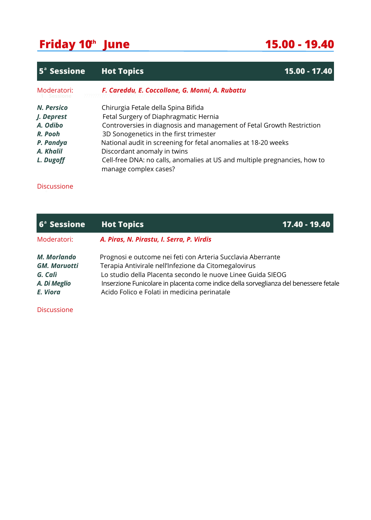# **Friday 10 June 15.00 - 19.40 th**

| <b>5<sup>ª</sup> Sessione</b> | <b>Hot Topics</b>                                                                                  | 15.00 - 17.40 |
|-------------------------------|----------------------------------------------------------------------------------------------------|---------------|
| Moderatori:                   | F. Careddu, E. Coccollone, G. Monni, A. Rubattu                                                    |               |
| N. Persico                    | Chirurgia Fetale della Spina Bifida                                                                |               |
| J. Deprest                    | Fetal Surgery of Diaphragmatic Hernia                                                              |               |
| A. Odibo                      | Controversies in diagnosis and management of Fetal Growth Restriction                              |               |
| R. Pooh                       | 3D Sonogenetics in the first trimester                                                             |               |
| P. Pandya                     | National audit in screening for fetal anomalies at 18-20 weeks                                     |               |
| A. Khalil                     | Discordant anomaly in twins                                                                        |               |
| L. Dugoff                     | Cell-free DNA: no calls, anomalies at US and multiple pregnancies, how to<br>manage complex cases? |               |

Discussione

| 6 <sup>ª</sup> Sessione                                                   | <b>Hot Topics</b>                                                                                                                                                                                                                                                                                                           | 17.40 - 19.40 |
|---------------------------------------------------------------------------|-----------------------------------------------------------------------------------------------------------------------------------------------------------------------------------------------------------------------------------------------------------------------------------------------------------------------------|---------------|
| Moderatori:                                                               | A. Piras, N. Pirastu, I. Serra, P. Virdis                                                                                                                                                                                                                                                                                   |               |
| M. Morlando<br><b>GM. Maruotti</b><br>G. Calì<br>A. Di Meglio<br>E. Viora | Prognosi e outcome nei feti con Arteria Succlavia Aberrante<br>Terapia Antivirale nell'Infezione da Citomegalovirus<br>Lo studio della Placenta secondo le nuove Linee Guida SIEOG<br>Inserzione Funicolare in placenta come indice della sorveglianza del benessere fetale<br>Acido Folico e Folati in medicina perinatale |               |

Discussione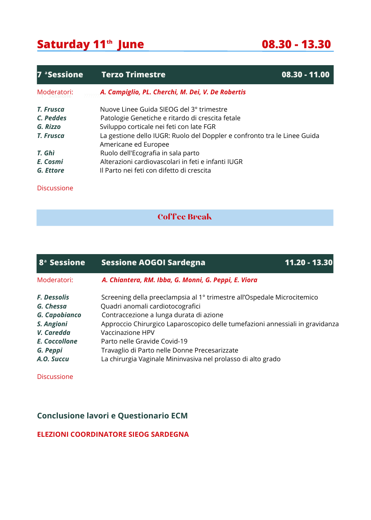# **Saturday 11 June 08.30 - 13.30 th**

| 7 <sup>a</sup> Sessione | <b>Terzo Trimestre</b>                                                                           | $08.30 - 11.00$ |
|-------------------------|--------------------------------------------------------------------------------------------------|-----------------|
| Moderatori:             | A. Campiglio, PL. Cherchi, M. Dei, V. De Robertis                                                |                 |
| T. Frusca               | Nuove Linee Guida SIFOG del 3º trimestre                                                         |                 |
| C. Peddes               | Patologie Genetiche e ritardo di crescita fetale                                                 |                 |
| G. Rizzo                | Sviluppo corticale nei feti con late FGR                                                         |                 |
| T. Frusca               | La gestione dello IUGR: Ruolo del Doppler e confronto tra le Linee Guida<br>Americane ed Europee |                 |
| T. Ghì                  | Ruolo dell'Ecografia in sala parto                                                               |                 |
| E. Cosmi                | Alterazioni cardiovascolari in feti e infanti IUGR                                               |                 |
| G. Ettore               | Il Parto nei feti con difetto di crescita                                                        |                 |

Discussione

## Coffee Break

| 8 <sup>ª</sup> Sessione                          | <b>Sessione AOGOI Sardegna</b>                                                                                                                         | 11.20 - 13.30 |
|--------------------------------------------------|--------------------------------------------------------------------------------------------------------------------------------------------------------|---------------|
| Moderatori:                                      | A. Chiantera, RM. Ibba, G. Monni, G. Peppi, E. Viora                                                                                                   |               |
| <b>F. Dessolis</b><br>G. Chessa<br>G. Capobianco | Screening della preeclampsia al 1º trimestre all'Ospedale Microcitemico<br>Quadri anomali cardiotocografici<br>Contraccezione a lunga durata di azione |               |
| S. Angioni<br>V. Caredda                         | Approccio Chirurgico Laparoscopico delle tumefazioni annessiali in gravidanza<br>Vaccinazione HPV                                                      |               |
| E. Coccollone<br>G. Peppi<br>A.O. Succu          | Parto nelle Gravide Covid-19<br>Travaglio di Parto nelle Donne Precesarizzate<br>La chirurgia Vaginale Mininvasiva nel prolasso di alto grado          |               |

Discussione

## **Conclusione lavori e Questionario ECM**

## **ELEZIONI COORDINATORE SIEOG SARDEGNA**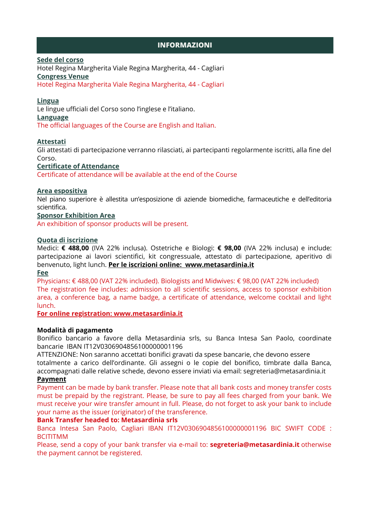## **INFORMAZIONI**

## **Sede del corso**

Hotel Regina Margherita Viale Regina Margherita, 44 - Cagliari **Congress Venue**

Hotel Regina Margherita Viale Regina Margherita, 44 - Cagliari

## **Lingua**

Le lingue ufficiali del Corso sono l'inglese e l'italiano.

#### **Language**

The official languages of the Course are English and Italian.

## **Attestati**

Gli attestati di partecipazione verranno rilasciati, ai partecipanti regolarmente iscritti, alla fine del Corso.

## **Certificate of Attendance**

Certificate of attendance will be available at the end of the Course

## **Area espositiva**

Nel piano superiore è allestita un'esposizione di aziende biomediche, farmaceutiche e dell'editoria scientifica.

## **Sponsor Exhibition Area**

An exhibition of sponsor products will be present.

#### **Quota di iscrizione**

Medici: **€ 488,00** (IVA 22% inclusa). Ostetriche e Biologi: **€ 98,00** (IVA 22% inclusa) e include: partecipazione ai lavori scientifici, kit congressuale, attestato di partecipazione, aperitivo di benvenuto, light lunch. **Per le iscrizioni online: www.metasardinia.it Fee**

Physicians: € 488,00 (VAT 22% included). Biologists and Midwives: € 98,00 (VAT 22% included) The registration fee includes: admission to all scientific sessions, access to sponsor exhibition area, a conference bag, a name badge, a certificate of attendance, welcome cocktail and light lunch.

**For online registration: www.metasardinia.it**

## **Modalità di pagamento**

Bonifico bancario a favore della Metasardinia srls, su Banca Intesa San Paolo, coordinate bancarie IBAN IT12V0306904856100000001196

ATTENZIONE: Non saranno accettati bonifici gravati da spese bancarie, che devono essere totalmente a carico dell'ordinante. Gli assegni o le copie del bonifico, timbrate dalla Banca, accompagnati dalle relative schede, devono essere inviati via email: [segreteria@metasardinia.it](mailto:segreteria@metasardinia.it) **Payment**

#### Payment can be made by bank transfer. Please note that all bank costs and money transfer costs must be prepaid by the registrant. Please, be sure to pay all fees charged from your bank. We must receive your wire transfer amount in full. Please, do not forget to ask your bank to include your name as the issuer (originator) of the transference.

## **Bank Transfer headed to: Metasardinia srls**

Banca Intesa San Paolo, Cagliari IBAN IT12V0306904856100000001196 BIC SWIFT CODE : BCITITMM

Please, send a copy of your bank transfer via e-mail to: **[segreteria@metasardinia.it](mailto:segreteria@metasardinia.it)** otherwise the payment cannot be registered.